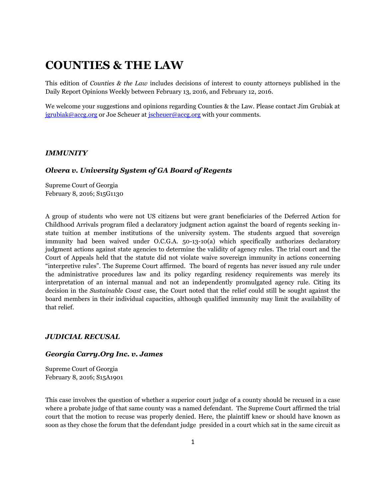# **COUNTIES & THE LAW**

This edition of *Counties & the Law* includes decisions of interest to county attorneys published in the Daily Report Opinions Weekly between February 13, 2016, and February 12, 2016.

We welcome your suggestions and opinions regarding Counties & the Law. Please contact Jim Grubiak at [jgrubiak@accg.org](mailto:jgrubiak@accg.org) or Joe Scheuer at [jscheuer@accg.org](mailto:jscheuer@accg.org) with your comments.

#### *IMMUNITY*

### *Olvera v. University System of GA Board of Regents*

Supreme Court of Georgia February 8, 2016; S15G1130

A group of students who were not US citizens but were grant beneficiaries of the Deferred Action for Childhood Arrivals program filed a declaratory judgment action against the board of regents seeking instate tuition at member institutions of the university system. The students argued that sovereign immunity had been waived under O.C.G.A. 50-13-10(a) which specifically authorizes declaratory judgment actions against state agencies to determine the validity of agency rules. The trial court and the Court of Appeals held that the statute did not violate waive sovereign immunity in actions concerning "interpretive rules". The Supreme Court affirmed. The board of regents has never issued any rule under the administrative procedures law and its policy regarding residency requirements was merely its interpretation of an internal manual and not an independently promulgated agency rule. Citing its decision in the *Sustainable Coast* case, the Court noted that the relief could still be sought against the board members in their individual capacities, although qualified immunity may limit the availability of that relief.

### *JUDICIAL RECUSAL*

## *Georgia Carry.Org Inc. v. James*

Supreme Court of Georgia February 8, 2016; S15A1901

This case involves the question of whether a superior court judge of a county should be recused in a case where a probate judge of that same county was a named defendant. The Supreme Court affirmed the trial court that the motion to recuse was properly denied. Here, the plaintiff knew or should have known as soon as they chose the forum that the defendant judge presided in a court which sat in the same circuit as